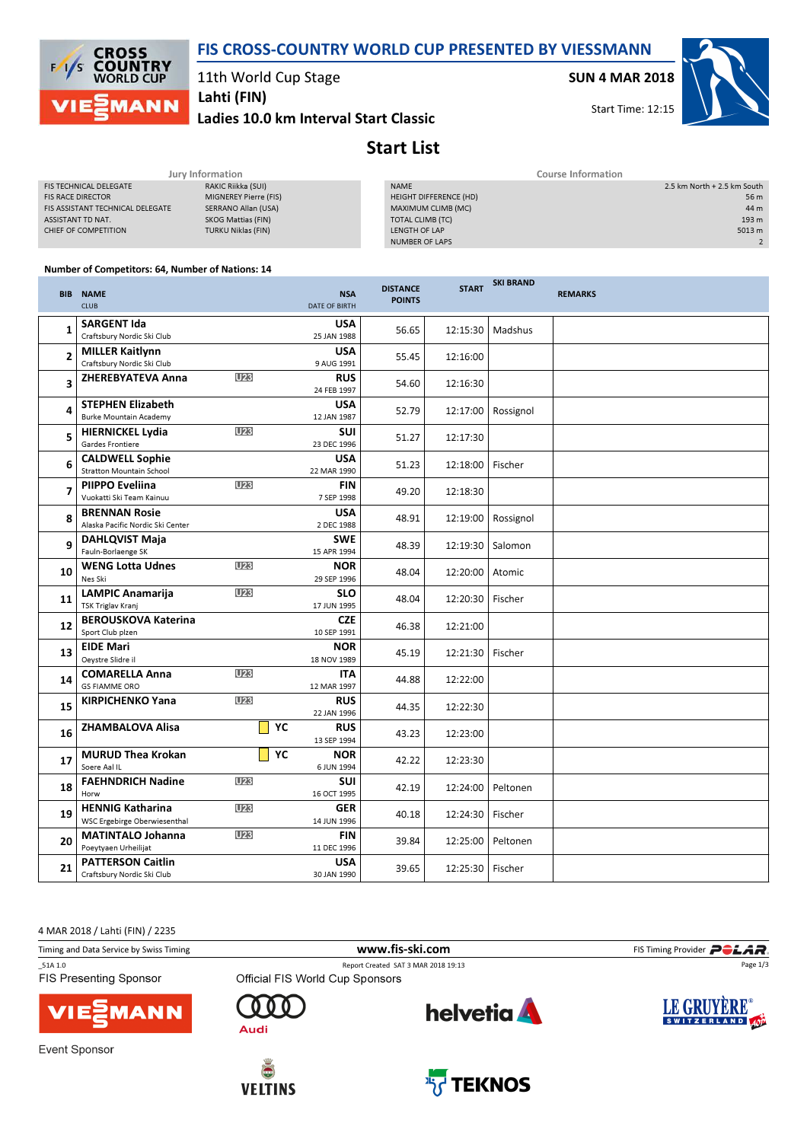



11th World Cup Stage

Ladies 10.0 km Interval Start Classic Lahti (FIN)

SUN 4 MAR 2018

Start Time: 12:15



## Start List

|                                  | Jury Information          | Course Information     |                             |  |  |
|----------------------------------|---------------------------|------------------------|-----------------------------|--|--|
| <b>FIS TECHNICAL DELEGATE</b>    | RAKIC Riikka (SUI)        | <b>NAME</b>            | 2.5 km North + 2.5 km South |  |  |
| <b>FIS RACE DIRECTOR</b>         | MIGNEREY Pierre (FIS)     | HEIGHT DIFFERENCE (HD) | 56 m                        |  |  |
| FIS ASSISTANT TECHNICAL DELEGATE | SERRANO Allan (USA)       | MAXIMUM CLIMB (MC)     | 44 m                        |  |  |
| ASSISTANT TD NAT.                | SKOG Mattias (FIN)        | TOTAL CLIMB (TC)       | 193 m                       |  |  |
| CHIEF OF COMPETITION             | <b>TURKU Niklas (FIN)</b> | LENGTH OF LAP          | 5013 m                      |  |  |
|                                  |                           | <b>NUMBER OF LAPS</b>  |                             |  |  |
|                                  |                           |                        |                             |  |  |

## Number of Competitors: 64, Number of Nations: 14

|    | <b>BIB NAME</b><br><b>CLUB</b>                            |                 | <b>NSA</b><br><b>DATE OF BIRTH</b> | <b>DISTANCE</b><br><b>POINTS</b> | <b>START</b> | <b>SKI BRAND</b> | <b>REMARKS</b> |
|----|-----------------------------------------------------------|-----------------|------------------------------------|----------------------------------|--------------|------------------|----------------|
| 1  | <b>SARGENT Ida</b><br>Craftsbury Nordic Ski Club          |                 | <b>USA</b><br>25 JAN 1988          | 56.65                            | 12:15:30     | Madshus          |                |
| 2  | <b>MILLER Kaitlynn</b><br>Craftsbury Nordic Ski Club      |                 | <b>USA</b><br>9 AUG 1991           | 55.45                            | 12:16:00     |                  |                |
| 3  | <b>ZHEREBYATEVA Anna</b>                                  | U23             | <b>RUS</b><br>24 FEB 1997          | 54.60                            | 12:16:30     |                  |                |
| 4  | <b>STEPHEN Elizabeth</b><br><b>Burke Mountain Academy</b> |                 | <b>USA</b><br>12 JAN 1987          | 52.79                            | 12:17:00     | Rossignol        |                |
| 5  | <b>HIERNICKEL Lydia</b><br>Gardes Frontiere               | U <sub>23</sub> | <b>SUI</b><br>23 DEC 1996          | 51.27                            | 12:17:30     |                  |                |
| 6  | <b>CALDWELL Sophie</b><br><b>Stratton Mountain School</b> |                 | <b>USA</b><br>22 MAR 1990          | 51.23                            | 12:18:00     | Fischer          |                |
| 7  | PIIPPO Eveliina<br>Vuokatti Ski Team Kainuu               | U <sub>23</sub> | <b>FIN</b><br>7 SEP 1998           | 49.20                            | 12:18:30     |                  |                |
| 8  | <b>BRENNAN Rosie</b><br>Alaska Pacific Nordic Ski Center  |                 | <b>USA</b><br>2 DEC 1988           | 48.91                            | 12:19:00     | Rossignol        |                |
| 9  | <b>DAHLQVIST Maja</b><br>Fauln-Borlaenge SK               |                 | <b>SWE</b><br>15 APR 1994          | 48.39                            | 12:19:30     | Salomon          |                |
| 10 | <b>WENG Lotta Udnes</b><br>Nes Ski                        | U <sub>23</sub> | <b>NOR</b><br>29 SEP 1996          | 48.04                            | 12:20:00     | Atomic           |                |
| 11 | <b>LAMPIC Anamarija</b><br><b>TSK Triglav Kranj</b>       | U23             | <b>SLO</b><br>17 JUN 1995          | 48.04                            | 12:20:30     | Fischer          |                |
| 12 | <b>BEROUSKOVA Katerina</b><br>Sport Club plzen            |                 | <b>CZE</b><br>10 SEP 1991          | 46.38                            | 12:21:00     |                  |                |
| 13 | <b>EIDE Mari</b><br>Oeystre Slidre il                     |                 | <b>NOR</b><br>18 NOV 1989          | 45.19                            | 12:21:30     | Fischer          |                |
| 14 | <b>COMARELLA Anna</b><br><b>GS FIAMME ORO</b>             | U23             | <b>ITA</b><br>12 MAR 1997          | 44.88                            | 12:22:00     |                  |                |
| 15 | <b>KIRPICHENKO Yana</b>                                   | U23             | <b>RUS</b><br>22 JAN 1996          | 44.35                            | 12:22:30     |                  |                |
| 16 | <b>ZHAMBALOVA Alisa</b>                                   | YC              | <b>RUS</b><br>13 SEP 1994          | 43.23                            | 12:23:00     |                  |                |
| 17 | <b>MURUD Thea Krokan</b><br>Soere Aal IL                  | YC              | <b>NOR</b><br>6 JUN 1994           | 42.22                            | 12:23:30     |                  |                |
| 18 | <b>FAEHNDRICH Nadine</b><br>Horw                          | U <sub>23</sub> | SUI<br>16 OCT 1995                 | 42.19                            | 12:24:00     | Peltonen         |                |
| 19 | <b>HENNIG Katharina</b><br>WSC Ergebirge Oberwiesenthal   | <b>U23</b>      | <b>GER</b><br>14 JUN 1996          | 40.18                            | 12:24:30     | Fischer          |                |
| 20 | <b>MATINTALO Johanna</b><br>Poeytyaen Urheilijat          | U <sub>23</sub> | <b>FIN</b><br>11 DEC 1996          | 39.84                            | 12:25:00     | Peltonen         |                |
| 21 | <b>PATTERSON Caitlin</b><br>Craftsbury Nordic Ski Club    |                 | <b>USA</b><br>30 JAN 1990          | 39.65                            | 12:25:30     | Fischer          |                |

4 MAR 2018 / Lahti (FIN) / 2235

Timing and Data Service by Swiss Timing www.fis-ski.com FIS Timing Provider \_51A 1.0 Report Created SAT 3 MAR 2018 19:13 Page 1/3FIS Presenting Sponsor LE GRUYÈRE® **helvetia** n n  $\Gamma$ 1ANN SWITZERLAND 400 Audi Event Sponsor



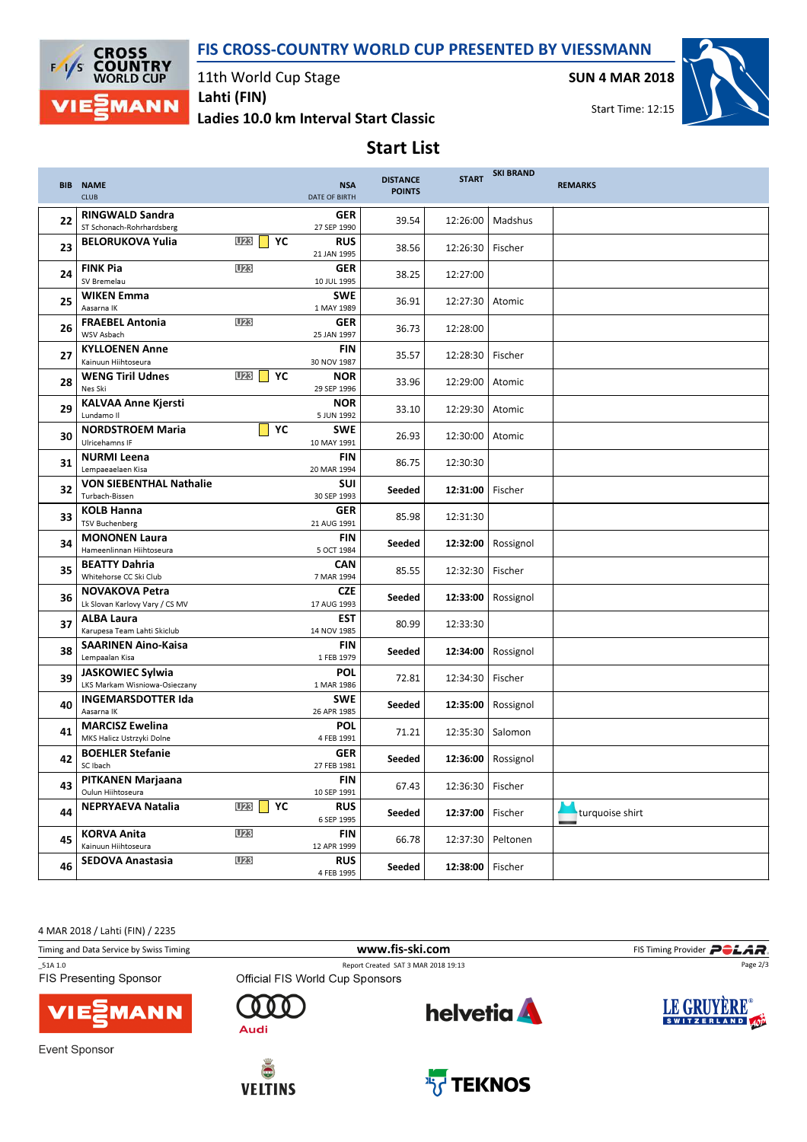## FIS CROSS-COUNTRY WORLD CUP PRESENTED BY VIESSMANN



11th World Cup Stage

Ladies 10.0 km Interval Start Classic Lahti (FIN)

SUN 4 MAR 2018



Start List

|    | <b>BIB NAME</b><br><b>CLUB</b>                           |                     |    | <b>NSA</b><br><b>DATE OF BIRTH</b> | <b>DISTANCE</b><br><b>POINTS</b> | <b>START</b> | <b>SKI BRAND</b> | <b>REMARKS</b>  |
|----|----------------------------------------------------------|---------------------|----|------------------------------------|----------------------------------|--------------|------------------|-----------------|
| 22 | <b>RINGWALD Sandra</b><br>ST Schonach-Rohrhardsberg      |                     |    | <b>GER</b><br>27 SEP 1990          | 39.54                            | 12:26:00     | Madshus          |                 |
| 23 | <b>BELORUKOVA Yulia</b>                                  | U23<br>$\mathbf{I}$ | YC | <b>RUS</b><br>21 JAN 1995          | 38.56                            | 12:26:30     | Fischer          |                 |
| 24 | <b>FINK Pia</b><br><b>SV Bremelau</b>                    | U <sub>23</sub>     |    | <b>GER</b><br>10 JUL 1995          | 38.25                            | 12:27:00     |                  |                 |
| 25 | <b>WIKEN Emma</b><br>Aasarna IK                          |                     |    | <b>SWE</b><br>1 MAY 1989           | 36.91                            | 12:27:30     | Atomic           |                 |
| 26 | <b>FRAEBEL Antonia</b><br>WSV Asbach                     | <b>U23</b>          |    | GER<br>25 JAN 1997                 | 36.73                            | 12:28:00     |                  |                 |
| 27 | <b>KYLLOENEN Anne</b><br>Kainuun Hiihtoseura             |                     |    | <b>FIN</b><br>30 NOV 1987          | 35.57                            | 12:28:30     | Fischer          |                 |
| 28 | <b>WENG Tiril Udnes</b><br>Nes Ski                       | <b>U23</b>          | YC | <b>NOR</b><br>29 SEP 1996          | 33.96                            | 12:29:00     | Atomic           |                 |
| 29 | <b>KALVAA Anne Kjersti</b><br>Lundamo II                 |                     |    | <b>NOR</b><br>5 JUN 1992           | 33.10                            | 12:29:30     | Atomic           |                 |
| 30 | <b>NORDSTROEM Maria</b><br>Ulricehamns IF                |                     | YC | <b>SWE</b><br>10 MAY 1991          | 26.93                            | 12:30:00     | Atomic           |                 |
| 31 | <b>NURMI Leena</b><br>Lempaeaelaen Kisa                  |                     |    | <b>FIN</b><br>20 MAR 1994          | 86.75                            | 12:30:30     |                  |                 |
| 32 | <b>VON SIEBENTHAL Nathalie</b><br>Turbach-Bissen         |                     |    | SUI<br>30 SEP 1993                 | Seeded                           | 12:31:00     | Fischer          |                 |
| 33 | <b>KOLB Hanna</b><br><b>TSV Buchenberg</b>               |                     |    | GER<br>21 AUG 1991                 | 85.98                            | 12:31:30     |                  |                 |
| 34 | <b>MONONEN Laura</b><br>Hameenlinnan Hiihtoseura         |                     |    | <b>FIN</b><br>5 OCT 1984           | Seeded                           | 12:32:00     | Rossignol        |                 |
| 35 | <b>BEATTY Dahria</b><br>Whitehorse CC Ski Club           |                     |    | <b>CAN</b><br>7 MAR 1994           | 85.55                            | 12:32:30     | Fischer          |                 |
| 36 | <b>NOVAKOVA Petra</b><br>Lk Slovan Karlovy Vary / CS MV  |                     |    | <b>CZE</b><br>17 AUG 1993          | Seeded                           | 12:33:00     | Rossignol        |                 |
| 37 | <b>ALBA Laura</b><br>Karupesa Team Lahti Skiclub         |                     |    | <b>EST</b><br>14 NOV 1985          | 80.99                            | 12:33:30     |                  |                 |
| 38 | <b>SAARINEN Aino-Kaisa</b><br>Lempaalan Kisa             |                     |    | <b>FIN</b><br>1 FEB 1979           | Seeded                           | 12:34:00     | Rossignol        |                 |
| 39 | <b>JASKOWIEC Sylwia</b><br>LKS Markam Wisniowa-Osieczany |                     |    | <b>POL</b><br>1 MAR 1986           | 72.81                            | 12:34:30     | Fischer          |                 |
| 40 | <b>INGEMARSDOTTER Ida</b><br>Aasarna IK                  |                     |    | <b>SWE</b><br>26 APR 1985          | Seeded                           | 12:35:00     | Rossignol        |                 |
| 41 | <b>MARCISZ Ewelina</b><br>MKS Halicz Ustrzyki Dolne      |                     |    | <b>POL</b><br>4 FEB 1991           | 71.21                            | 12:35:30     | Salomon          |                 |
| 42 | <b>BOEHLER Stefanie</b><br>SC Ibach                      |                     |    | <b>GER</b><br>27 FEB 1981          | Seeded                           | 12:36:00     | Rossignol        |                 |
| 43 | <b>PITKANEN Marjaana</b><br>Oulun Hiihtoseura            |                     |    | <b>FIN</b><br>10 SEP 1991          | 67.43                            | 12:36:30     | Fischer          |                 |
| 44 | <b>NEPRYAEVA Natalia</b>                                 | U <sub>23</sub>     | YC | <b>RUS</b><br>6 SEP 1995           | Seeded                           | 12:37:00     | Fischer          | turquoise shirt |
| 45 | <b>KORVA Anita</b><br>Kainuun Hiihtoseura                | U <sub>23</sub>     |    | FIN<br>12 APR 1999                 | 66.78                            | 12:37:30     | Peltonen         |                 |
| 46 | <b>SEDOVA Anastasia</b>                                  | U23                 |    | <b>RUS</b><br>4 FEB 1995           | Seeded                           | 12:38:00     | Fischer          |                 |

4 MAR 2018 / Lahti (FIN) / 2235

Timing and Data Service by Swiss Timing **Example 20** WWW.fis-Ski.com **FIS Timing Provider** POLAR.

\_51A 1.0 Report Created SAT 3 MAR 2018 19:13 FIS Presenting Sponsor



Event Sponsor



Λ n

Audi

 $\Gamma$ 





Page 2/3